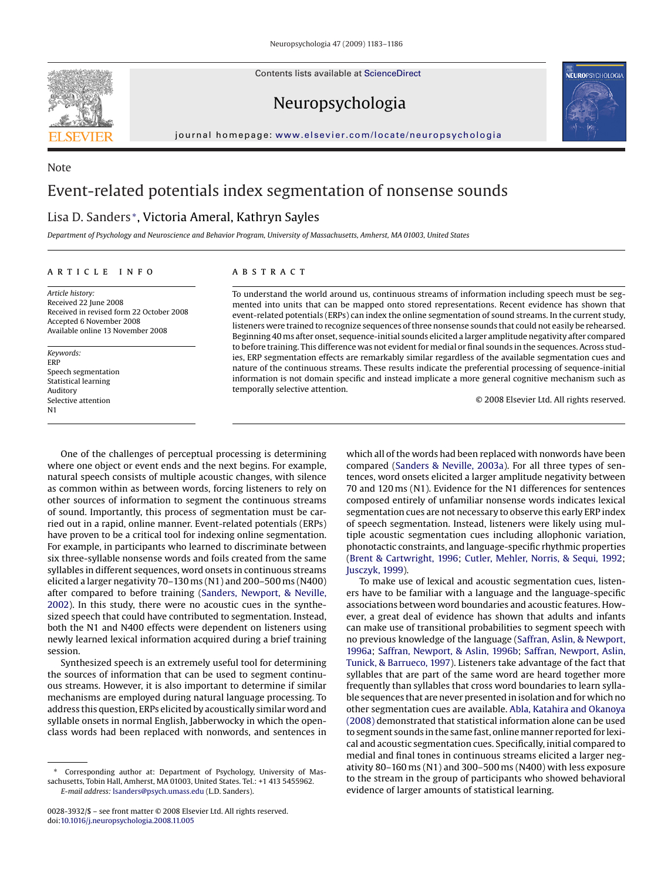Contents lists available at [ScienceDirect](http://www.sciencedirect.com/science/journal/00283932)



Note





#### journal homepage: [www.elsevier.com/locate/neuropsychologia](http://www.elsevier.com/locate/neuropsychologia)

# Event-related potentials index segmentation of nonsense sounds

# Lisa D. Sanders <sup>∗</sup>, Victoria Ameral, Kathryn Sayles

*Department of Psychology and Neuroscience and Behavior Program, University of Massachusetts, Amherst, MA 01003, United States*

#### article info

*Article history:* Received 22 June 2008 Received in revised form 22 October 2008 Accepted 6 November 2008 Available online 13 November 2008

*Keywords:* ERP Speech segmentation Statistical learning Auditory Selective attention N1

## ABSTRACT

To understand the world around us, continuous streams of information including speech must be segmented into units that can be mapped onto stored representations. Recent evidence has shown that event-related potentials (ERPs) can index the online segmentation of sound streams. In the current study, listeners were trained to recognize sequences of three nonsense sounds that could not easily be rehearsed. Beginning 40 ms after onset, sequence-initial sounds elicited a larger amplitude negativity after compared to before training. This difference was not evident for medial or final sounds in the sequences. Across studies, ERP segmentation effects are remarkably similar regardless of the available segmentation cues and nature of the continuous streams. These results indicate the preferential processing of sequence-initial information is not domain specific and instead implicate a more general cognitive mechanism such as temporally selective attention.

© 2008 Elsevier Ltd. All rights reserved.

One of the challenges of perceptual processing is determining where one object or event ends and the next begins. For example, natural speech consists of multiple acoustic changes, with silence as common within as between words, forcing listeners to rely on other sources of information to segment the continuous streams of sound. Importantly, this process of segmentation must be carried out in a rapid, online manner. Event-related potentials (ERPs) have proven to be a critical tool for indexing online segmentation. For example, in participants who learned to discriminate between six three-syllable nonsense words and foils created from the same syllables in different sequences, word onsets in continuous streams elicited a larger negativity 70–130 ms (N1) and 200–500 ms (N400) after compared to before training ([Sanders, Newport, & Neville,](#page-3-0) [2002\).](#page-3-0) In this study, there were no acoustic cues in the synthesized speech that could have contributed to segmentation. Instead, both the N1 and N400 effects were dependent on listeners using newly learned lexical information acquired during a brief training session.

Synthesized speech is an extremely useful tool for determining the sources of information that can be used to segment continuous streams. However, it is also important to determine if similar mechanisms are employed during natural language processing. To address this question, ERPs elicited by acoustically similar word and syllable onsets in normal English, Jabberwocky in which the openclass words had been replaced with nonwords, and sentences in

Corresponding author at: Department of Psychology, University of Massachusetts, Tobin Hall, Amherst, MA 01003, United States. Tel.: +1 413 5455962. *E-mail address:* [lsanders@psych.umass.edu](mailto:lsanders@psych.umass.edu) (L.D. Sanders).

which all of the words had been replaced with nonwords have been compared ([Sanders & Neville, 2003a\).](#page-3-0) For all three types of sentences, word onsets elicited a larger amplitude negativity between 70 and 120 ms (N1). Evidence for the N1 differences for sentences composed entirely of unfamiliar nonsense words indicates lexical segmentation cues are not necessary to observe this early ERP index of speech segmentation. Instead, listeners were likely using multiple acoustic segmentation cues including allophonic variation, phonotactic constraints, and language-specific rhythmic properties [\(Brent & Cartwright, 1996;](#page-3-0) [Cutler, Mehler, Norris, & Sequi, 1992;](#page-3-0) [Jusczyk, 1999\).](#page-3-0)

To make use of lexical and acoustic segmentation cues, listeners have to be familiar with a language and the language-specific associations between word boundaries and acoustic features. However, a great deal of evidence has shown that adults and infants can make use of transitional probabilities to segment speech with no previous knowledge of the language [\(Saffran, Aslin, & Newport,](#page-3-0) [1996a;](#page-3-0) [Saffran, Newport, & Aslin, 1996b;](#page-3-0) [Saffran, Newport, Aslin,](#page-3-0) [Tunick, & Barrueco, 1997\).](#page-3-0) Listeners take advantage of the fact that syllables that are part of the same word are heard together more frequently than syllables that cross word boundaries to learn syllable sequences that are never presented in isolation and for which no other segmentation cues are available. [Abla, Katahira and Okanoya](#page-3-0) [\(2008\)](#page-3-0) demonstrated that statistical information alone can be used to segment sounds in the same fast, online manner reported for lexical and acoustic segmentation cues. Specifically, initial compared to medial and final tones in continuous streams elicited a larger negativity 80–160 ms (N1) and 300–500 ms (N400) with less exposure to the stream in the group of participants who showed behavioral evidence of larger amounts of statistical learning.

<sup>0028-3932/\$ –</sup> see front matter © 2008 Elsevier Ltd. All rights reserved. doi:[10.1016/j.neuropsychologia.2008.11.005](dx.doi.org/10.1016/j.neuropsychologia.2008.11.005)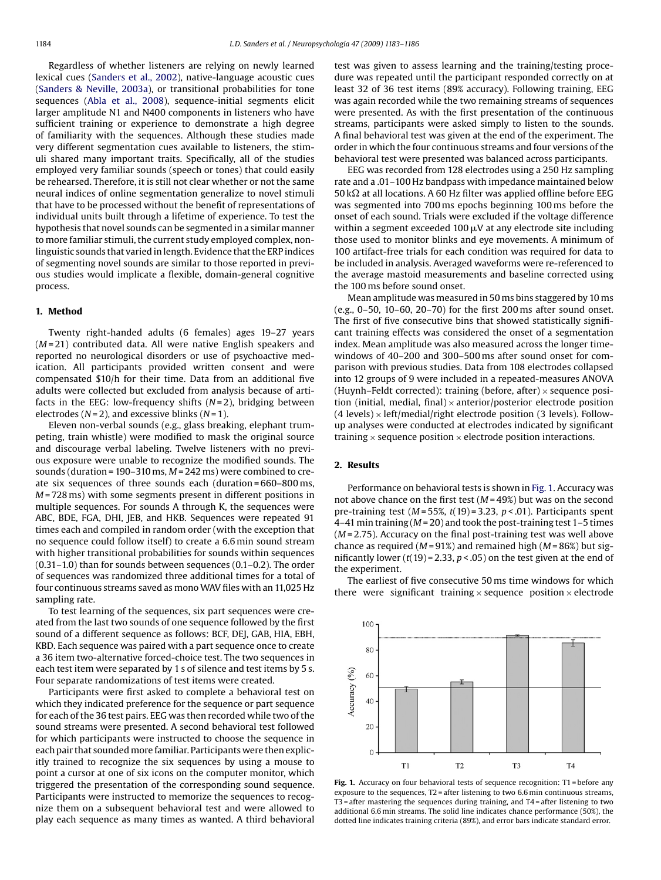Regardless of whether listeners are relying on newly learned lexical cues ([Sanders et al., 2002\),](#page-3-0) native-language acoustic cues ([Sanders & Neville, 2003a\),](#page-3-0) or transitional probabilities for tone sequences ([Abla et al., 2008\),](#page-3-0) sequence-initial segments elicit larger amplitude N1 and N400 components in listeners who have sufficient training or experience to demonstrate a high degree of familiarity with the sequences. Although these studies made very different segmentation cues available to listeners, the stimuli shared many important traits. Specifically, all of the studies employed very familiar sounds (speech or tones) that could easily be rehearsed. Therefore, it is still not clear whether or not the same neural indices of online segmentation generalize to novel stimuli that have to be processed without the benefit of representations of individual units built through a lifetime of experience. To test the hypothesis that novel sounds can be segmented in a similar manner to more familiar stimuli, the current study employed complex, nonlinguistic sounds that varied in length. Evidence that the ERP indices of segmenting novel sounds are similar to those reported in previous studies would implicate a flexible, domain-general cognitive process.

## **1. Method**

Twenty right-handed adults (6 females) ages 19–27 years (*M* = 21) contributed data. All were native English speakers and reported no neurological disorders or use of psychoactive medication. All participants provided written consent and were compensated \$10/h for their time. Data from an additional five adults were collected but excluded from analysis because of artifacts in the EEG: low-frequency shifts (*N* = 2), bridging between electrodes (*N* = 2), and excessive blinks (*N* = 1).

Eleven non-verbal sounds (e.g., glass breaking, elephant trumpeting, train whistle) were modified to mask the original source and discourage verbal labeling. Twelve listeners with no previous exposure were unable to recognize the modified sounds. The sounds (duration = 190–310 ms, *M* = 242 ms) were combined to create six sequences of three sounds each (duration = 660–800 ms, *M* = 728 ms) with some segments present in different positions in multiple sequences. For sounds A through K, the sequences were ABC, BDE, FGA, DHI, JEB, and HKB. Sequences were repeated 91 times each and compiled in random order (with the exception that no sequence could follow itself) to create a 6.6 min sound stream with higher transitional probabilities for sounds within sequences (0.31–1.0) than for sounds between sequences (0.1–0.2). The order of sequences was randomized three additional times for a total of four continuous streams saved as monoWAV files with an 11,025 Hz sampling rate.

To test learning of the sequences, six part sequences were created from the last two sounds of one sequence followed by the first sound of a different sequence as follows: BCF, DEJ, GAB, HIA, EBH, KBD. Each sequence was paired with a part sequence once to create a 36 item two-alternative forced-choice test. The two sequences in each test item were separated by 1 s of silence and test items by 5 s. Four separate randomizations of test items were created.

Participants were first asked to complete a behavioral test on which they indicated preference for the sequence or part sequence for each of the 36 test pairs. EEG was then recorded while two of the sound streams were presented. A second behavioral test followed for which participants were instructed to choose the sequence in each pair that soundedmore familiar. Participants were then explicitly trained to recognize the six sequences by using a mouse to point a cursor at one of six icons on the computer monitor, which triggered the presentation of the corresponding sound sequence. Participants were instructed to memorize the sequences to recognize them on a subsequent behavioral test and were allowed to play each sequence as many times as wanted. A third behavioral

test was given to assess learning and the training/testing procedure was repeated until the participant responded correctly on at least 32 of 36 test items (89% accuracy). Following training, EEG was again recorded while the two remaining streams of sequences were presented. As with the first presentation of the continuous streams, participants were asked simply to listen to the sounds. A final behavioral test was given at the end of the experiment. The order in which the four continuous streams and four versions of the behavioral test were presented was balanced across participants.

EEG was recorded from 128 electrodes using a 250 Hz sampling rate and a .01–100 Hz bandpass with impedance maintained below 50 k $\Omega$  at all locations. A 60 Hz filter was applied offline before EEG was segmented into 700 ms epochs beginning 100 ms before the onset of each sound. Trials were excluded if the voltage difference within a segment exceeded 100  $\mu$ V at any electrode site including those used to monitor blinks and eye movements. A minimum of 100 artifact-free trials for each condition was required for data to be included in analysis. Averaged waveforms were re-referenced to the average mastoid measurements and baseline corrected using the 100 ms before sound onset.

Mean amplitude was measured in 50 ms bins staggered by 10 ms (e.g., 0–50, 10–60, 20–70) for the first 200 ms after sound onset. The first of five consecutive bins that showed statistically significant training effects was considered the onset of a segmentation index. Mean amplitude was also measured across the longer timewindows of 40–200 and 300–500 ms after sound onset for comparison with previous studies. Data from 108 electrodes collapsed into 12 groups of 9 were included in a repeated-measures ANOVA (Huynh–Feldt corrected): training (before, after)  $\times$  sequence position (initial, medial, final)  $\times$  anterior/posterior electrode position  $(4$  levels)  $\times$  left/medial/right electrode position (3 levels). Followup analyses were conducted at electrodes indicated by significant training  $\times$  sequence position  $\times$  electrode position interactions.

#### **2. Results**

Performance on behavioral tests is shown in Fig. 1. Accuracy was not above chance on the first test (*M* = 49%) but was on the second pre-training test (*M* = 55%, *t*(19) = 3.23, *p* < .01). Participants spent 4–41 min training (*M* = 20) and took the post-training test 1–5 times (*M* = 2.75). Accuracy on the final post-training test was well above chance as required (*M* = 91%) and remained high (*M* = 86%) but significantly lower  $(t(19) = 2.33, p < .05)$  on the test given at the end of the experiment.

The earliest of five consecutive 50 ms time windows for which there were significant training  $\times$  sequence position  $\times$  electrode



Fig. 1. Accuracy on four behavioral tests of sequence recognition: T1 = before any exposure to the sequences,  $T2$  = after listening to two 6.6 min continuous streams, T3 = after mastering the sequences during training, and T4 = after listening to two additional 6.6 min streams. The solid line indicates chance performance (50%), the dotted line indicates training criteria (89%), and error bars indicate standard error.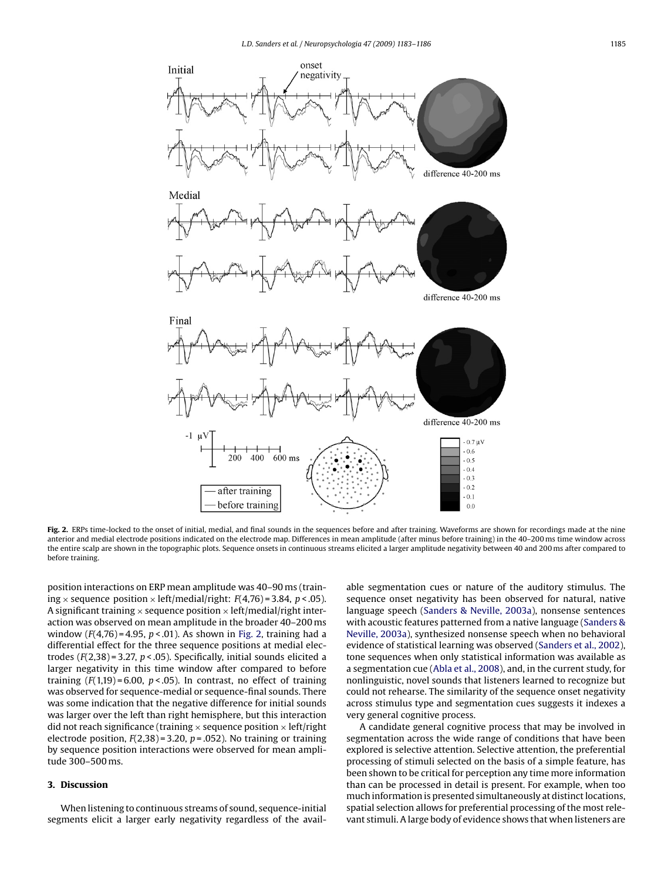

Fig. 2. ERPs time-locked to the onset of initial, medial, and final sounds in the sequences before and after training. Waveforms are shown for recordings made at the nine anterior and medial electrode positions indicated on the electrode map. Differences in mean amplitude (after minus before training) in the 40–200 ms time window across the entire scalp are shown in the topographic plots. Sequence onsets in continuous streams elicited a larger amplitude negativity between 40 and 200 ms after compared to before training.

position interactions on ERP mean amplitude was 40–90 ms (training  $\times$  sequence position  $\times$  left/medial/right: *F*(4,76) = 3.84, *p* < .05). A significant training  $\times$  sequence position  $\times$  left/medial/right interaction was observed on mean amplitude in the broader 40–200 ms window (*F*(4,76) = 4.95, *p* < .01). As shown in Fig. 2, training had a differential effect for the three sequence positions at medial electrodes (*F*(2,38) = 3.27, *p* < .05). Specifically, initial sounds elicited a larger negativity in this time window after compared to before training  $(F(1,19) = 6.00, p < .05)$ . In contrast, no effect of training was observed for sequence-medial or sequence-final sounds. There was some indication that the negative difference for initial sounds was larger over the left than right hemisphere, but this interaction did not reach significance (training  $\times$  sequence position  $\times$  left/right electrode position,  $F(2,38) = 3.20$ ,  $p = .052$ ). No training or training by sequence position interactions were observed for mean amplitude 300–500 ms.

### **3. Discussion**

When listening to continuous streams of sound, sequence-initial segments elicit a larger early negativity regardless of the available segmentation cues or nature of the auditory stimulus. The sequence onset negativity has been observed for natural, native language speech [\(Sanders & Neville, 2003a\),](#page-3-0) nonsense sentences with acoustic features patterned from a native language [\(Sanders &](#page-3-0) [Neville, 2003a\),](#page-3-0) synthesized nonsense speech when no behavioral evidence of statistical learning was observed ([Sanders et al., 2002\),](#page-3-0) tone sequences when only statistical information was available as a segmentation cue [\(Abla et al., 2008\),](#page-3-0) and, in the current study, for nonlinguistic, novel sounds that listeners learned to recognize but could not rehearse. The similarity of the sequence onset negativity across stimulus type and segmentation cues suggests it indexes a very general cognitive process.

A candidate general cognitive process that may be involved in segmentation across the wide range of conditions that have been explored is selective attention. Selective attention, the preferential processing of stimuli selected on the basis of a simple feature, has been shown to be critical for perception any time more information than can be processed in detail is present. For example, when too much information is presented simultaneously at distinct locations, spatial selection allows for preferential processing of the most relevant stimuli. A large body of evidence shows that when listeners are